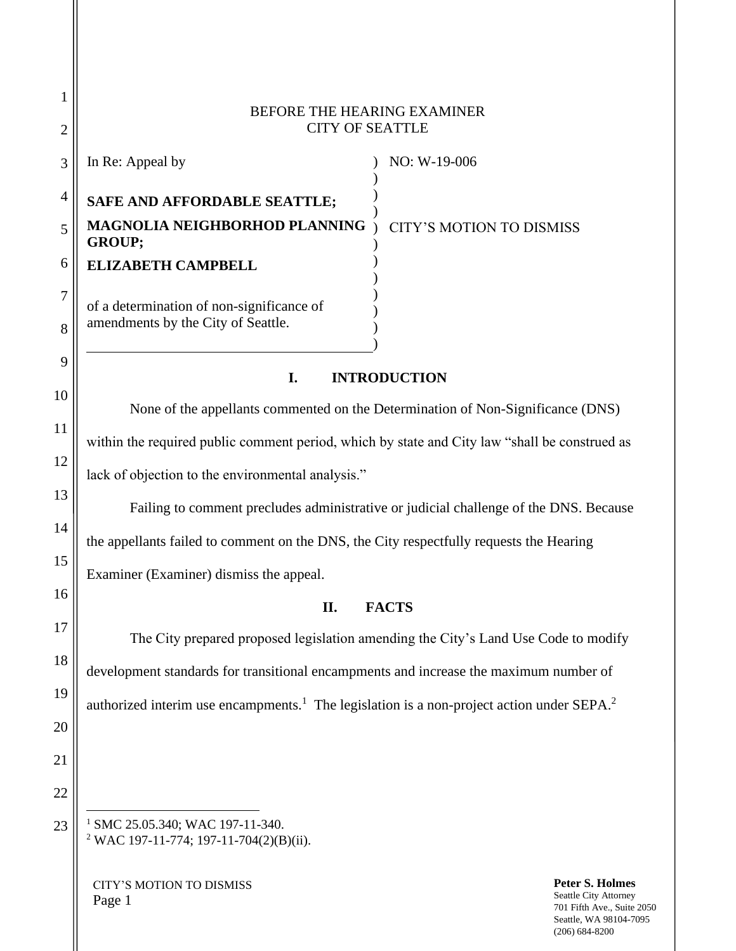## BEFORE THE HEARING EXAMINER CITY OF SEATTLE

| In Re: Appeal by                                                                | NO: W-19-006             |
|---------------------------------------------------------------------------------|--------------------------|
| SAFE AND AFFORDABLE SEATTLE;                                                    |                          |
| MAGNOLIA NEIGHBORHOD PLANNING<br><b>GROUP:</b>                                  | CITY'S MOTION TO DISMISS |
| <b>ELIZABETH CAMPBELL</b>                                                       |                          |
| of a determination of non-significance of<br>amendments by the City of Seattle. |                          |
|                                                                                 |                          |

# **I. INTRODUCTION**

None of the appellants commented on the Determination of Non-Significance (DNS) within the required public comment period, which by state and City law "shall be construed as lack of objection to the environmental analysis."

Failing to comment precludes administrative or judicial challenge of the DNS. Because the appellants failed to comment on the DNS, the City respectfully requests the Hearing Examiner (Examiner) dismiss the appeal.

## **II. FACTS**

The City prepared proposed legislation amending the City's Land Use Code to modify development standards for transitional encampments and increase the maximum number of authorized interim use encampments.<sup>1</sup> The legislation is a non-project action under SEPA.<sup>2</sup>

<sup>1</sup> SMC 25.05.340; WAC 197-11-340. <sup>2</sup> WAC 197-11-774; 197-11-704(2)(B)(ii).

CITY'S MOTION TO DISMISS Page 1

1

2

9

10

11

12

13

14

15

16

17

18

19

20

21

22

23

**Peter S. Holmes** Seattle City Attorney 701 Fifth Ave., Suite 2050 Seattle, WA 98104-7095 (206) 684-8200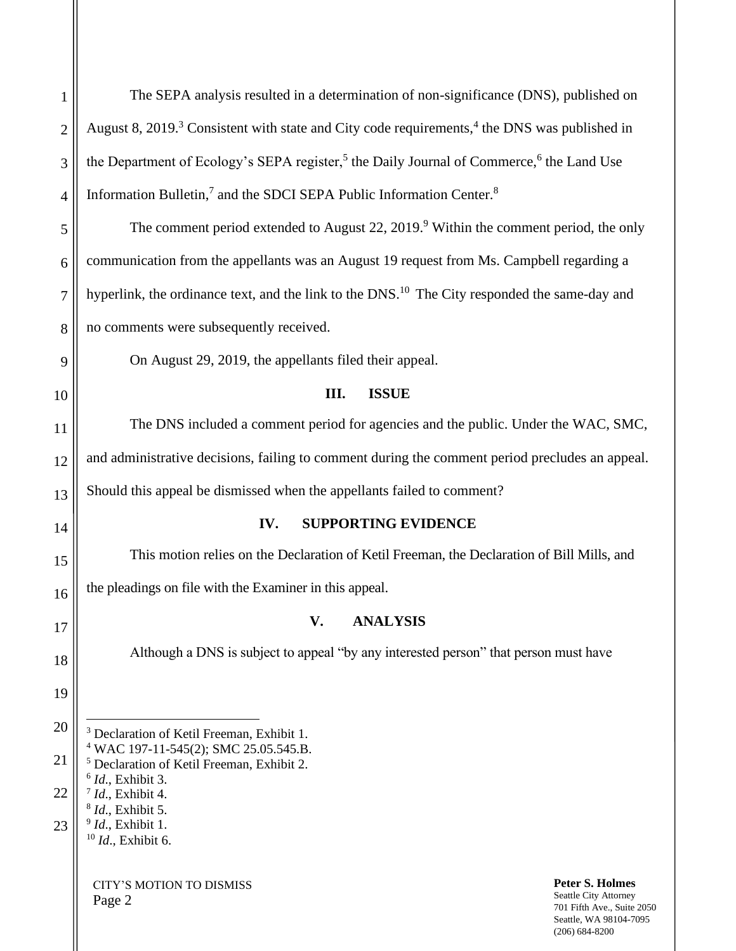| $\mathbf{1}$   | The SEPA analysis resulted in a determination of non-significance (DNS), published on                                                                                      |  |  |  |
|----------------|----------------------------------------------------------------------------------------------------------------------------------------------------------------------------|--|--|--|
| $\mathbf{2}$   | August 8, 2019. <sup>3</sup> Consistent with state and City code requirements, <sup>4</sup> the DNS was published in                                                       |  |  |  |
| 3              | the Department of Ecology's SEPA register, <sup>5</sup> the Daily Journal of Commerce, <sup>6</sup> the Land Use                                                           |  |  |  |
| 4              | Information Bulletin, <sup>7</sup> and the SDCI SEPA Public Information Center. <sup>8</sup>                                                                               |  |  |  |
| 5              | The comment period extended to August 22, $2019.9$ Within the comment period, the only                                                                                     |  |  |  |
| 6              | communication from the appellants was an August 19 request from Ms. Campbell regarding a                                                                                   |  |  |  |
| $\overline{7}$ | hyperlink, the ordinance text, and the link to the DNS. <sup>10</sup> The City responded the same-day and                                                                  |  |  |  |
| 8              | no comments were subsequently received.                                                                                                                                    |  |  |  |
| 9              | On August 29, 2019, the appellants filed their appeal.                                                                                                                     |  |  |  |
| 10             | <b>ISSUE</b><br>III.                                                                                                                                                       |  |  |  |
| 11             | The DNS included a comment period for agencies and the public. Under the WAC, SMC,                                                                                         |  |  |  |
| 12             | and administrative decisions, failing to comment during the comment period precludes an appeal.                                                                            |  |  |  |
| 13             | Should this appeal be dismissed when the appellants failed to comment?                                                                                                     |  |  |  |
| 14             | <b>SUPPORTING EVIDENCE</b><br>IV.                                                                                                                                          |  |  |  |
| 15             | This motion relies on the Declaration of Ketil Freeman, the Declaration of Bill Mills, and                                                                                 |  |  |  |
| 16             | the pleadings on file with the Examiner in this appeal.                                                                                                                    |  |  |  |
| 17             | V.<br><b>ANALYSIS</b>                                                                                                                                                      |  |  |  |
| 18             | Although a DNS is subject to appeal "by any interested person" that person must have                                                                                       |  |  |  |
| 19             |                                                                                                                                                                            |  |  |  |
| 20             | <sup>3</sup> Declaration of Ketil Freeman, Exhibit 1.                                                                                                                      |  |  |  |
| 21             | <sup>4</sup> WAC 197-11-545(2); SMC 25.05.545.B.<br><sup>5</sup> Declaration of Ketil Freeman, Exhibit 2.                                                                  |  |  |  |
| 22             | $6$ <i>Id.</i> , Exhibit 3.<br>$^7$ <i>Id.</i> , Exhibit 4.                                                                                                                |  |  |  |
| 23             | $8$ <i>Id.</i> , Exhibit 5.<br>$9$ <i>Id.</i> , Exhibit 1.<br>$10$ <i>Id.</i> , Exhibit 6.                                                                                 |  |  |  |
|                | <b>Peter S. Holmes</b><br><b>CITY'S MOTION TO DISMISS</b><br>Seattle City Attorney<br>Page 2<br>701 Fifth Ave., Suite 2050<br>Seattle, WA 98104-7095<br>$(206) 684 - 8200$ |  |  |  |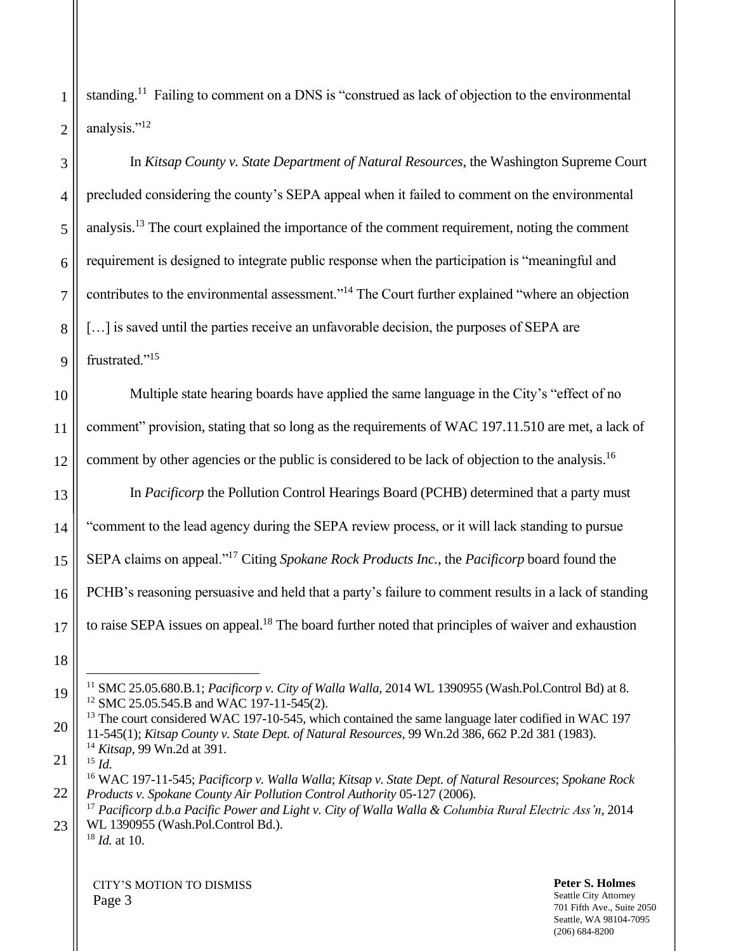standing.<sup>11</sup> Failing to comment on a DNS is "construed as lack of objection to the environmental analysis."<sup>12</sup>

In *Kitsap County v. State Department of Natural Resources*, the Washington Supreme Court precluded considering the county's SEPA appeal when it failed to comment on the environmental analysis.<sup>13</sup> The court explained the importance of the comment requirement, noting the comment requirement is designed to integrate public response when the participation is "meaningful and contributes to the environmental assessment."<sup>14</sup> The Court further explained "where an objection [...] is saved until the parties receive an unfavorable decision, the purposes of SEPA are frustrated."<sup>15</sup>

Multiple state hearing boards have applied the same language in the City's "effect of no comment" provision, stating that so long as the requirements of WAC 197.11.510 are met, a lack of comment by other agencies or the public is considered to be lack of objection to the analysis.<sup>16</sup>

In *Pacificorp* the Pollution Control Hearings Board (PCHB) determined that a party must "comment to the lead agency during the SEPA review process, or it will lack standing to pursue SEPA claims on appeal."<sup>17</sup> Citing *Spokane Rock Products Inc.*, the *Pacificorp* board found the PCHB's reasoning persuasive and held that a party's failure to comment results in a lack of standing to raise SEPA issues on appeal.<sup>18</sup> The board further noted that principles of waiver and exhaustion

<sup>13</sup> The court considered WAC 197-10-545, which contained the same language later codified in WAC 197 11-545(1); *Kitsap County v. State Dept. of Natural Resources*, 99 Wn.2d 386, 662 P.2d 381 (1983). <sup>14</sup> *Kitsap*, 99 Wn.2d at 391.

21  $^{15}$  *Id*.

1

2

3

4

5

6

7

8

9

10

11

12

13

14

15

16

17

18

19

20

22

<sup>18</sup> *Id.* at 10.

CITY'S MOTION TO DISMISS Page 3

**Peter S. Holmes** Seattle City Attorney 701 Fifth Ave., Suite 2050 Seattle, WA 98104-7095 (206) 684-8200

<sup>11</sup> SMC 25.05.680.B.1; *Pacificorp v. City of Walla Walla,* 2014 WL 1390955 (Wash.Pol.Control Bd) at 8. <sup>12</sup> SMC 25.05.545.B and WAC 197-11-545(2).

<sup>16</sup> WAC 197-11-545; *Pacificorp v. Walla Walla*; *Kitsap v. State Dept. of Natural Resources*; *Spokane Rock Products v. Spokane County Air Pollution Control Authority* 05-127 (2006)*.*

<sup>23</sup> <sup>17</sup> *Pacificorp d.b.a Pacific Power and Light v. City of Walla Walla & Columbia Rural Electric Ass'n*, 2014 WL 1390955 (Wash.Pol.Control Bd.).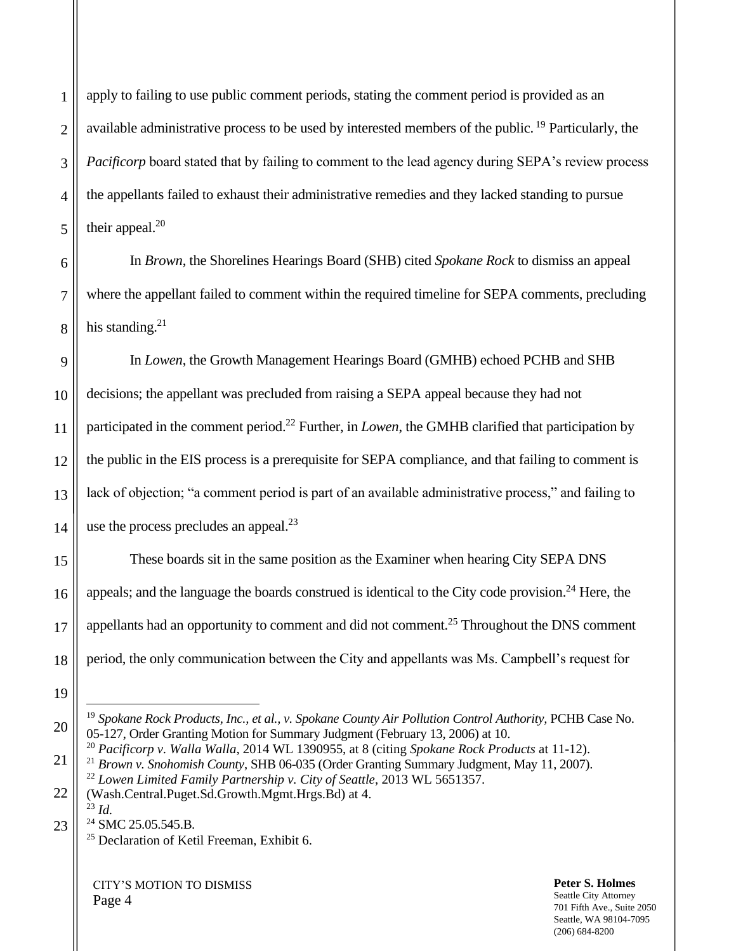apply to failing to use public comment periods, stating the comment period is provided as an available administrative process to be used by interested members of the public. <sup>19</sup> Particularly, the *Pacificorp* board stated that by failing to comment to the lead agency during SEPA's review process the appellants failed to exhaust their administrative remedies and they lacked standing to pursue their appeal. $20$ 

In *Brown*, the Shorelines Hearings Board (SHB) cited *Spokane Rock* to dismiss an appeal where the appellant failed to comment within the required timeline for SEPA comments, precluding his standing. $21$ 

In *Lowen*, the Growth Management Hearings Board (GMHB) echoed PCHB and SHB decisions; the appellant was precluded from raising a SEPA appeal because they had not participated in the comment period.<sup>22</sup> Further, in *Lowen*, the GMHB clarified that participation by the public in the EIS process is a prerequisite for SEPA compliance, and that failing to comment is lack of objection; "a comment period is part of an available administrative process," and failing to use the process precludes an appeal. $^{23}$ 

These boards sit in the same position as the Examiner when hearing City SEPA DNS appeals; and the language the boards construed is identical to the City code provision.<sup>24</sup> Here, the appellants had an opportunity to comment and did not comment.<sup>25</sup> Throughout the DNS comment period, the only communication between the City and appellants was Ms. Campbell's request for

<sup>20</sup> *Pacificorp v. Walla Walla*, 2014 WL 1390955, at 8 (citing *Spokane Rock Products* at 11-12). <sup>21</sup> *Brown v. Snohomish County*, SHB 06-035 (Order Granting Summary Judgment, May 11, 2007). <sup>22</sup> *Lowen Limited Family Partnership v. City of Seattle*, 2013 WL 5651357.

CITY'S MOTION TO DISMISS Page 4

#### **Peter S. Holmes** Seattle City Attorney 701 Fifth Ave., Suite 2050 Seattle, WA 98104-7095

(206) 684-8200

<sup>&</sup>lt;sup>19</sup> Spokane Rock Products, Inc., et al., v. Spokane County Air Pollution Control Authority, PCHB Case No. 05-127, Order Granting Motion for Summary Judgment (February 13, 2006) at 10.

<sup>(</sup>Wash.Central.Puget.Sd.Growth.Mgmt.Hrgs.Bd) at 4.

<sup>23</sup> *Id.* <sup>24</sup> SMC 25.05.545.B.

<sup>&</sup>lt;sup>25</sup> Declaration of Ketil Freeman, Exhibit 6.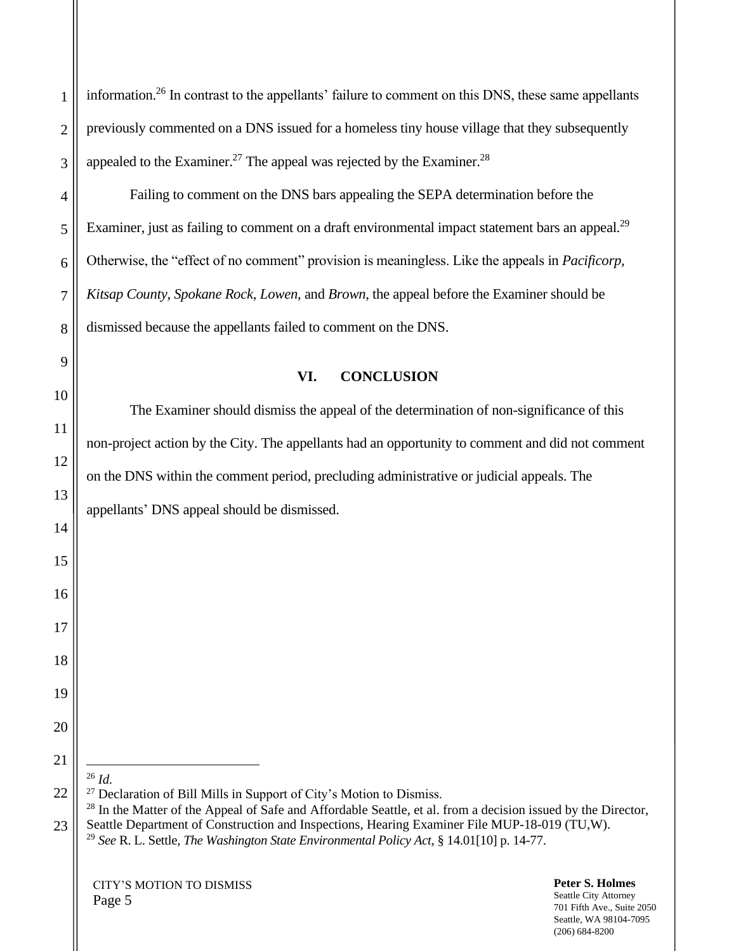information.<sup>26</sup> In contrast to the appellants' failure to comment on this DNS, these same appellants previously commented on a DNS issued for a homeless tiny house village that they subsequently appealed to the Examiner.<sup>27</sup> The appeal was rejected by the Examiner.<sup>28</sup>

Failing to comment on the DNS bars appealing the SEPA determination before the Examiner, just as failing to comment on a draft environmental impact statement bars an appeal.<sup>29</sup> Otherwise, the "effect of no comment" provision is meaningless. Like the appeals in *Pacificorp, Kitsap County*, *Spokane Rock*, *Lowen*, and *Brown*, the appeal before the Examiner should be dismissed because the appellants failed to comment on the DNS.

## **VI. CONCLUSION**

The Examiner should dismiss the appeal of the determination of non-significance of this non-project action by the City. The appellants had an opportunity to comment and did not comment on the DNS within the comment period, precluding administrative or judicial appeals. The appellants' DNS appeal should be dismissed.

<sup>26</sup> *Id.*

1

2

3

4

5

6

7

8

9

10

11

12

13

14

15

16

17

18

19

20

21

22

23

<sup>27</sup> Declaration of Bill Mills in Support of City's Motion to Dismiss.

<sup>28</sup> In the Matter of the Appeal of Safe and Affordable Seattle, et al. from a decision issued by the Director, Seattle Department of Construction and Inspections, Hearing Examiner File MUP-18-019 (TU,W).

<sup>29</sup> *See* R. L. Settle, *The Washington State Environmental Policy Act*, § 14.01[10] p. 14-77.

CITY'S MOTION TO DISMISS Page 5

**Peter S. Holmes** Seattle City Attorney 701 Fifth Ave., Suite 2050 Seattle, WA 98104-7095 (206) 684-8200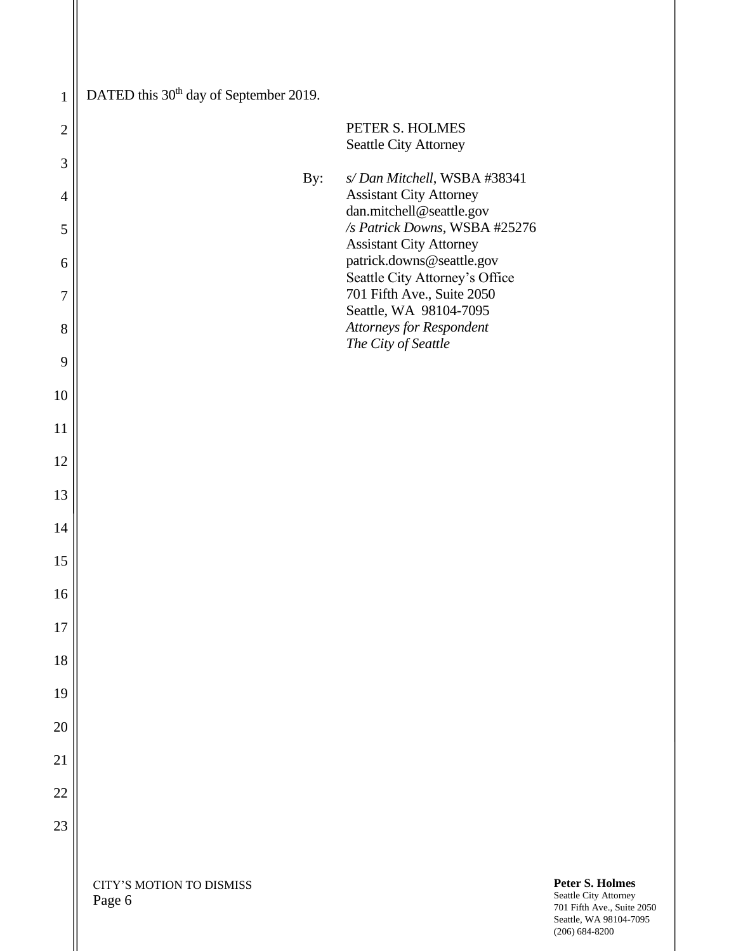| $\mathbf{1}$   | DATED this 30 <sup>th</sup> day of September 2019. |                                                                                                                                                                        |                                                                        |
|----------------|----------------------------------------------------|------------------------------------------------------------------------------------------------------------------------------------------------------------------------|------------------------------------------------------------------------|
| $\overline{2}$ |                                                    | PETER S. HOLMES<br>Seattle City Attorney                                                                                                                               |                                                                        |
| 3              | By:                                                | s/Dan Mitchell, WSBA #38341                                                                                                                                            |                                                                        |
| $\overline{4}$ |                                                    | <b>Assistant City Attorney</b><br>dan.mitchell@seattle.gov                                                                                                             |                                                                        |
| 5              |                                                    | /s Patrick Downs, WSBA #25276<br><b>Assistant City Attorney</b>                                                                                                        |                                                                        |
| 6              |                                                    | patrick.downs@seattle.gov<br>Seattle City Attorney's Office<br>701 Fifth Ave., Suite 2050<br>Seattle, WA 98104-7095<br>Attorneys for Respondent<br>The City of Seattle |                                                                        |
| 7              |                                                    |                                                                                                                                                                        |                                                                        |
| 8              |                                                    |                                                                                                                                                                        |                                                                        |
| 9              |                                                    |                                                                                                                                                                        |                                                                        |
| 10             |                                                    |                                                                                                                                                                        |                                                                        |
| 11             |                                                    |                                                                                                                                                                        |                                                                        |
| 12             |                                                    |                                                                                                                                                                        |                                                                        |
| 13             |                                                    |                                                                                                                                                                        |                                                                        |
| 14             |                                                    |                                                                                                                                                                        |                                                                        |
| 15             |                                                    |                                                                                                                                                                        |                                                                        |
| 16             |                                                    |                                                                                                                                                                        |                                                                        |
| 17             |                                                    |                                                                                                                                                                        |                                                                        |
| 18             |                                                    |                                                                                                                                                                        |                                                                        |
| 19             |                                                    |                                                                                                                                                                        |                                                                        |
| 20             |                                                    |                                                                                                                                                                        |                                                                        |
| 21             |                                                    |                                                                                                                                                                        |                                                                        |
| 22             |                                                    |                                                                                                                                                                        |                                                                        |
| 23             |                                                    |                                                                                                                                                                        |                                                                        |
|                |                                                    |                                                                                                                                                                        |                                                                        |
|                | CITY'S MOTION TO DISMISS<br>Page 6                 |                                                                                                                                                                        | Peter S. Holmes<br>Seattle City Attorney<br>701 Fifth Ave., Suite 2050 |

 $\parallel$ 

Seattle, WA 98104-7095 (206) 684-8200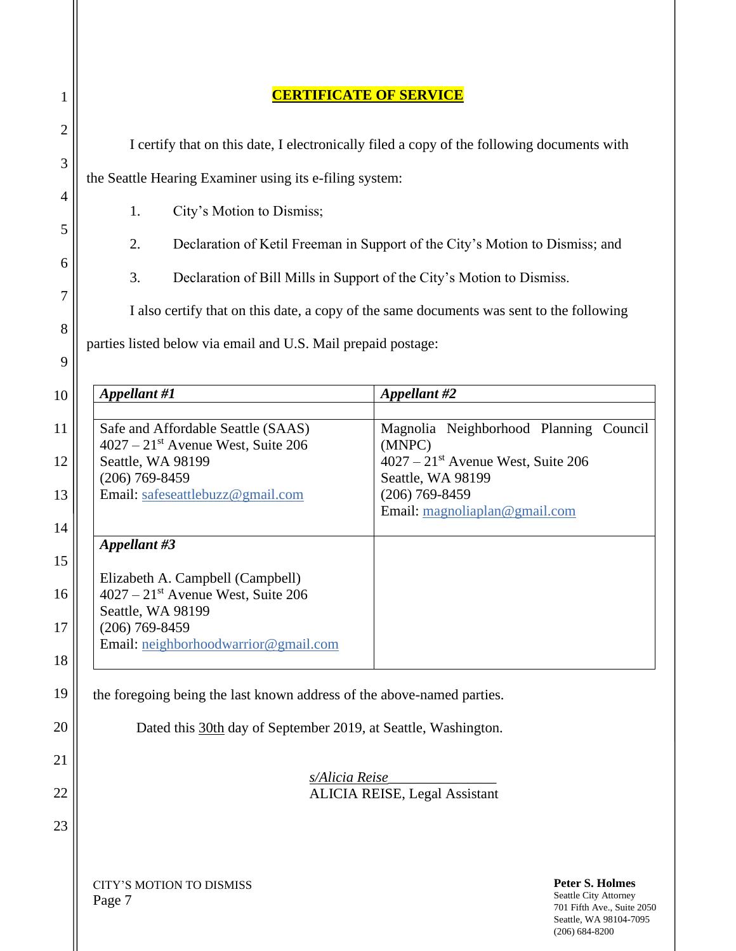| 1                   |                                                                                            | <b>ERTIFICATE OF SERVICE</b>                                                                                                  |  |  |
|---------------------|--------------------------------------------------------------------------------------------|-------------------------------------------------------------------------------------------------------------------------------|--|--|
| $\overline{2}$      | I certify that on this date, I electronically filed a copy of the following documents with |                                                                                                                               |  |  |
| 3                   | the Seattle Hearing Examiner using its e-filing system:                                    |                                                                                                                               |  |  |
| $\overline{4}$<br>5 | City's Motion to Dismiss;<br>1.                                                            |                                                                                                                               |  |  |
| 6                   | 2.<br>Declaration of Ketil Freeman in Support of the City's Motion to Dismiss; and         |                                                                                                                               |  |  |
| 7                   | 3.<br>Declaration of Bill Mills in Support of the City's Motion to Dismiss.                |                                                                                                                               |  |  |
| 8                   | I also certify that on this date, a copy of the same documents was sent to the following   |                                                                                                                               |  |  |
| 9                   | parties listed below via email and U.S. Mail prepaid postage:                              |                                                                                                                               |  |  |
| 10                  | Appellant #1                                                                               | Appellant #2                                                                                                                  |  |  |
| 11                  | Safe and Affordable Seattle (SAAS)<br>$4027 - 21$ <sup>st</sup> Avenue West, Suite 206     | Magnolia Neighborhood Planning Council<br>(MNPC)                                                                              |  |  |
| 12                  | Seattle, WA 98199<br>$(206)$ 769-8459                                                      | $4027 - 21$ <sup>st</sup> Avenue West, Suite 206<br>Seattle, WA 98199                                                         |  |  |
| 13                  | Email: safeseattlebuzz@gmail.com                                                           | $(206)$ 769-8459<br>Email: magnoliaplan@gmail.com                                                                             |  |  |
| 14                  | Appellant #3                                                                               |                                                                                                                               |  |  |
| 15                  | Elizabeth A. Campbell (Campbell)                                                           |                                                                                                                               |  |  |
| 16                  | $4027 - 21$ <sup>st</sup> Avenue West, Suite 206<br>Seattle, WA 98199                      |                                                                                                                               |  |  |
| 17                  | $(206)$ 769-8459<br>Email: neighborhoodwarrior@gmail.com                                   |                                                                                                                               |  |  |
| 18<br>19            |                                                                                            |                                                                                                                               |  |  |
| 20                  | the foregoing being the last known address of the above-named parties.                     |                                                                                                                               |  |  |
| 21                  | Dated this 30th day of September 2019, at Seattle, Washington.                             |                                                                                                                               |  |  |
| 22                  | s/Alicia Reise<br><b>ALICIA REISE, Legal Assistant</b>                                     |                                                                                                                               |  |  |
| 23                  |                                                                                            |                                                                                                                               |  |  |
|                     |                                                                                            |                                                                                                                               |  |  |
|                     | CITY'S MOTION TO DISMISS<br>Page 7                                                         | <b>Peter S. Holmes</b><br>Seattle City Attorney<br>701 Fifth Ave., Suite 2050<br>Seattle, WA 98104-7095<br>$(206) 684 - 8200$ |  |  |